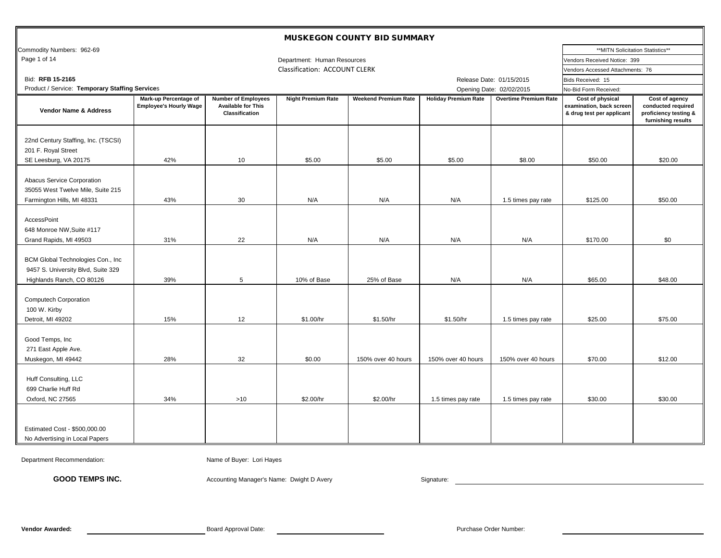| <b>MUSKEGON COUNTY BID SUMMARY</b>                                                                   |                                                        |                                                                           |                               |                             |                             |                              |                                                                                  |                                                                                     |  |
|------------------------------------------------------------------------------------------------------|--------------------------------------------------------|---------------------------------------------------------------------------|-------------------------------|-----------------------------|-----------------------------|------------------------------|----------------------------------------------------------------------------------|-------------------------------------------------------------------------------------|--|
| Commodity Numbers: 962-69                                                                            |                                                        |                                                                           |                               |                             |                             |                              |                                                                                  | **MITN Solicitation Statistics**                                                    |  |
| Page 1 of 14                                                                                         |                                                        |                                                                           | Department: Human Resources   |                             |                             |                              | Vendors Received Notice: 399                                                     |                                                                                     |  |
|                                                                                                      |                                                        |                                                                           | Classification: ACCOUNT CLERK |                             |                             |                              | Vendors Accessed Attachments: 76                                                 |                                                                                     |  |
| Bid: RFB 15-2165                                                                                     |                                                        |                                                                           |                               |                             |                             | Release Date: 01/15/2015     | Bids Received: 15                                                                |                                                                                     |  |
| Product / Service: Temporary Staffing Services                                                       |                                                        |                                                                           |                               |                             |                             | Opening Date: 02/02/2015     | No-Bid Form Received:                                                            |                                                                                     |  |
| <b>Vendor Name &amp; Address</b>                                                                     | Mark-up Percentage of<br><b>Employee's Hourly Wage</b> | <b>Number of Employees</b><br><b>Available for This</b><br>Classification | <b>Night Premium Rate</b>     | <b>Weekend Premium Rate</b> | <b>Holiday Premium Rate</b> | <b>Overtime Premium Rate</b> | <b>Cost of physical</b><br>examination, back screen<br>& drug test per applicant | Cost of agency<br>conducted required<br>proficiency testing &<br>furnishing results |  |
| 22nd Century Staffing, Inc. (TSCSI)<br>201 F. Royal Street<br>SE Leesburg, VA 20175                  | 42%                                                    | 10                                                                        | \$5.00                        | \$5.00                      | \$5.00                      | \$8.00                       | \$50.00                                                                          | \$20.00                                                                             |  |
| Abacus Service Corporation<br>35055 West Twelve Mile, Suite 215<br>Farmington Hills, MI 48331        | 43%                                                    | 30                                                                        | N/A                           | N/A                         | N/A                         | 1.5 times pay rate           | \$125.00                                                                         | \$50.00                                                                             |  |
| AccessPoint<br>648 Monroe NW, Suite #117<br>Grand Rapids, MI 49503                                   | 31%                                                    | 22                                                                        | N/A                           | N/A                         | N/A                         | N/A                          | \$170.00                                                                         | \$0                                                                                 |  |
| BCM Global Technologies Con., Inc<br>9457 S. University Blvd, Suite 329<br>Highlands Ranch, CO 80126 | 39%                                                    | 5                                                                         | 10% of Base                   | 25% of Base                 | N/A                         | N/A                          | \$65.00                                                                          | \$48.00                                                                             |  |
| <b>Computech Corporation</b><br>100 W. Kirby<br>Detroit, MI 49202                                    | 15%                                                    | 12                                                                        | \$1.00/hr                     | \$1.50/hr                   | \$1.50/hr                   | 1.5 times pay rate           | \$25.00                                                                          | \$75.00                                                                             |  |
| Good Temps, Inc<br>271 East Apple Ave.<br>Muskegon, MI 49442                                         | 28%                                                    | 32                                                                        | \$0.00                        | 150% over 40 hours          | 150% over 40 hours          | 150% over 40 hours           | \$70.00                                                                          | \$12.00                                                                             |  |
| Huff Consulting, LLC<br>699 Charlie Huff Rd<br>Oxford, NC 27565                                      | 34%                                                    | $>10$                                                                     | \$2.00/hr                     | \$2.00/hr                   | 1.5 times pay rate          | 1.5 times pay rate           | \$30.00                                                                          | \$30.00                                                                             |  |
| Estimated Cost - \$500,000.00<br>No Advertising in Local Papers                                      |                                                        |                                                                           |                               |                             |                             |                              |                                                                                  |                                                                                     |  |

Department Recommendation: Comment Comment Comment Comment Comment Comment Comment Comment Comment Comment Comment Comment Comment Comment Comment Comment Comment Comment Comment Comment Comment Comment Comment Comment Com

GOOD TEMPS INC. **Accounting Manager's Name: Dwight D Avery** Signature: Signature: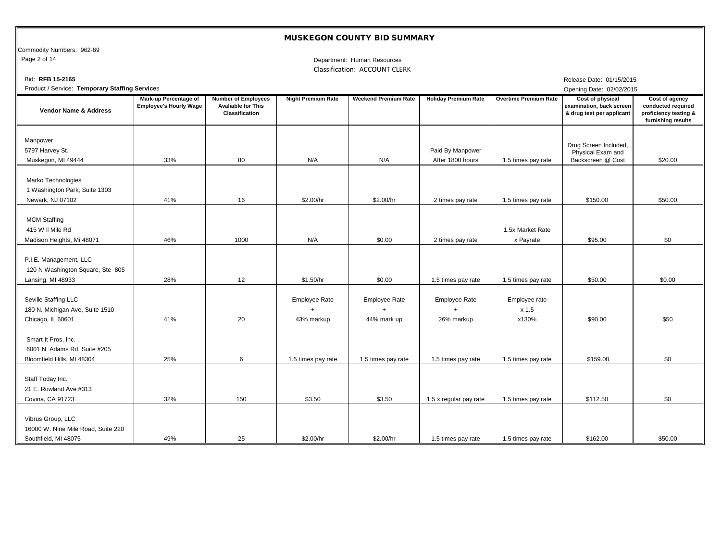Commodity Numbers: 962-69<br>Page 2 of 14

#### Department: Human Resources Classification: ACCOUNT CLERK

| Bid: RFB 15-2165                                                                  |                                                        |                                                                           |                                               |                                                  |                                      |                                 | Release Date: 01/15/2015                                                  |                                                                                     |
|-----------------------------------------------------------------------------------|--------------------------------------------------------|---------------------------------------------------------------------------|-----------------------------------------------|--------------------------------------------------|--------------------------------------|---------------------------------|---------------------------------------------------------------------------|-------------------------------------------------------------------------------------|
| Product / Service: Temporary Staffing Services                                    |                                                        |                                                                           |                                               |                                                  |                                      |                                 | Opening Date: 02/02/2015                                                  |                                                                                     |
| <b>Vendor Name &amp; Address</b>                                                  | Mark-up Percentage of<br><b>Employee's Hourly Wage</b> | <b>Number of Employees</b><br><b>Avaliable for This</b><br>Classification | <b>Night Premium Rate</b>                     | <b>Weekend Premium Rate</b>                      | <b>Holiday Premium Rate</b>          | <b>Overtime Premium Rate</b>    | Cost of physical<br>examination, back screen<br>& drug test per applicant | Cost of agency<br>conducted required<br>proficiency testing &<br>furnishing results |
| Manpower<br>5797 Harvey St.<br>Muskegon, MI 49444                                 | 33%                                                    | 80                                                                        | N/A                                           | N/A                                              | Paid By Manpower<br>After 1800 hours | 1.5 times pay rate              | Drug Screen Included,<br>Physical Exam and<br>Backscreen @ Cost           | \$20.00                                                                             |
| Marko Technologies<br>1 Washington Park, Suite 1303<br>Newark, NJ 07102           | 41%                                                    | 16                                                                        | \$2.00/hr                                     | \$2.00/hr                                        | 2 times pay rate                     | 1.5 times pay rate              | \$150.00                                                                  | \$50.00                                                                             |
| <b>MCM Staffing</b><br>415 W II Mile Rd<br>Madison Heights, Mi 48071              | 46%                                                    | 1000                                                                      | N/A                                           | \$0.00                                           | 2 times pay rate                     | 1.5x Market Rate<br>x Payrate   | \$95.00                                                                   | \$0                                                                                 |
| P.I.E. Management, LLC<br>120 N Washington Square, Ste 805<br>Lansing, MI 48933   | 28%                                                    | 12                                                                        | \$1.50/hr                                     | \$0.00                                           | 1.5 times pay rate                   | 1.5 times pay rate              | \$50.00                                                                   | \$0.00                                                                              |
| Seville Staffing LLC<br>180 N. Michigan Ave, Suite 1510<br>Chicago, IL 60601      | 41%                                                    | 20                                                                        | Employee Rate<br>$\overline{+}$<br>43% markup | <b>Employee Rate</b><br>$\ddot{}$<br>44% mark up | <b>Employee Rate</b><br>26% markup   | Employee rate<br>x 1.5<br>x130% | \$90.00                                                                   | \$50                                                                                |
| Smart It Pros, Inc.<br>6001 N. Adams Rd. Suite #205<br>Bloomfield Hills, MI 48304 | 25%                                                    | 6                                                                         | 1.5 times pay rate                            | 1.5 times pay rate                               | 1.5 times pay rate                   | 1.5 times pay rate              | \$159.00                                                                  | \$0                                                                                 |
| Staff Today Inc.<br>21 E. Rowland Ave #313<br>Covina, CA 91723                    | 32%                                                    | 150                                                                       | \$3.50                                        | \$3.50                                           | 1.5 x regular pay rate               | 1.5 times pay rate              | \$112.50                                                                  | \$0                                                                                 |
| Vibrus Group, LLC<br>16000 W. Nine Mile Road, Suite 220<br>Southfield, MI 48075   | 49%                                                    | 25                                                                        | \$2.00/hr                                     | \$2.00/hr                                        | 1.5 times pay rate                   | 1.5 times pay rate              | \$162.00                                                                  | \$50.00                                                                             |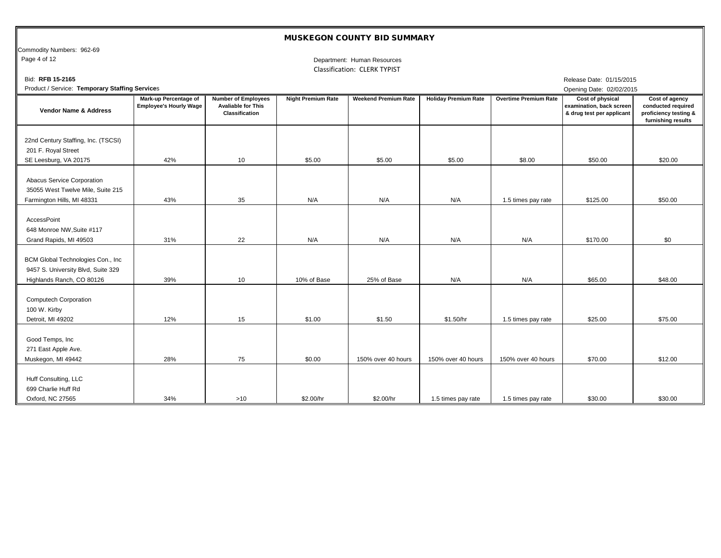Commodity Numbers: 962-69<br>Page 4 of 12

Department: Human Resources Classification: CLERK TYPIST

| Bid: RFB 15-2165                                                                                     |                                                        |                                                                           |                           |                             |                             |                              | Release Date: 01/15/2015                                                         |                                                                                     |
|------------------------------------------------------------------------------------------------------|--------------------------------------------------------|---------------------------------------------------------------------------|---------------------------|-----------------------------|-----------------------------|------------------------------|----------------------------------------------------------------------------------|-------------------------------------------------------------------------------------|
| Product / Service: Temporary Staffing Services                                                       |                                                        |                                                                           |                           |                             |                             |                              | Opening Date: 02/02/2015                                                         |                                                                                     |
| Vendor Name & Address                                                                                | Mark-up Percentage of<br><b>Employee's Hourly Wage</b> | <b>Number of Employees</b><br><b>Avaliable for This</b><br>Classification | <b>Night Premium Rate</b> | <b>Weekend Premium Rate</b> | <b>Holiday Premium Rate</b> | <b>Overtime Premium Rate</b> | <b>Cost of physical</b><br>examination, back screen<br>& drug test per applicant | Cost of agency<br>conducted required<br>proficiency testing &<br>furnishing results |
| 22nd Century Staffing, Inc. (TSCSI)<br>201 F. Royal Street<br>SE Leesburg, VA 20175                  | 42%                                                    | 10                                                                        | \$5.00                    | \$5.00                      | \$5.00                      | \$8.00                       | \$50.00                                                                          | \$20.00                                                                             |
| Abacus Service Corporation<br>35055 West Twelve Mile, Suite 215<br>Farmington Hills, MI 48331        | 43%                                                    | 35                                                                        | N/A                       | N/A                         | N/A                         | 1.5 times pay rate           | \$125.00                                                                         | \$50.00                                                                             |
| AccessPoint<br>648 Monroe NW, Suite #117<br>Grand Rapids, MI 49503                                   | 31%                                                    | 22                                                                        | N/A                       | N/A                         | N/A                         | N/A                          | \$170.00                                                                         | \$0                                                                                 |
| BCM Global Technologies Con., Inc<br>9457 S. University Blvd, Suite 329<br>Highlands Ranch, CO 80126 | 39%                                                    | 10                                                                        | 10% of Base               | 25% of Base                 | N/A                         | N/A                          | \$65.00                                                                          | \$48.00                                                                             |
| <b>Computech Corporation</b><br>100 W. Kirby<br>Detroit, MI 49202                                    | 12%                                                    | 15                                                                        | \$1.00                    | \$1.50                      | \$1.50/hr                   | 1.5 times pay rate           | \$25.00                                                                          | \$75.00                                                                             |
| Good Temps, Inc<br>271 East Apple Ave.<br>Muskegon, MI 49442                                         | 28%                                                    | 75                                                                        | \$0.00                    | 150% over 40 hours          | 150% over 40 hours          | 150% over 40 hours           | \$70.00                                                                          | \$12.00                                                                             |
| Huff Consulting, LLC<br>699 Charlie Huff Rd<br>Oxford, NC 27565                                      | 34%                                                    | $>10$                                                                     | \$2.00/hr                 | \$2.00/hr                   | 1.5 times pay rate          | 1.5 times pay rate           | \$30.00                                                                          | \$30.00                                                                             |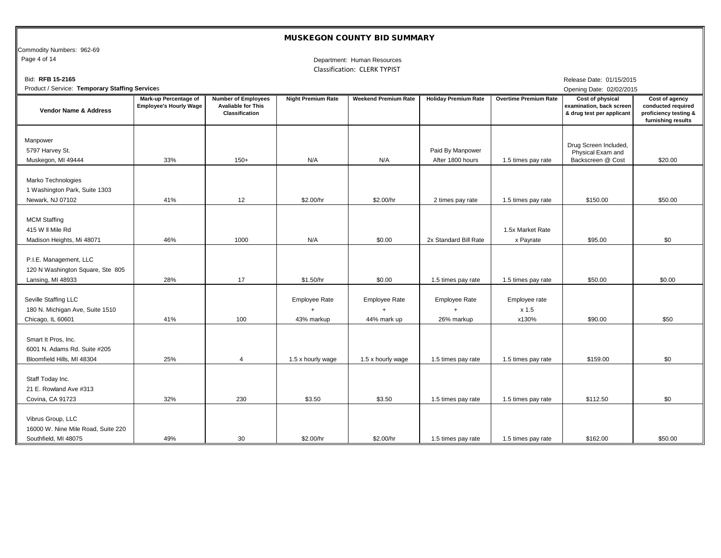Commodity Numbers: 962-69<br>Page 4 of 14

Department: Human Resources Classification: CLERK TYPIST

| Bid: RFB 15-2165                                                                  |                                                        |                                                                           |                                                 |                                                  |                                                 |                                 | Release Date: 01/15/2015                                                  |                                                                                     |
|-----------------------------------------------------------------------------------|--------------------------------------------------------|---------------------------------------------------------------------------|-------------------------------------------------|--------------------------------------------------|-------------------------------------------------|---------------------------------|---------------------------------------------------------------------------|-------------------------------------------------------------------------------------|
| Product / Service: Temporary Staffing Services                                    |                                                        |                                                                           |                                                 |                                                  |                                                 |                                 | Opening Date: 02/02/2015                                                  |                                                                                     |
| <b>Vendor Name &amp; Address</b>                                                  | Mark-up Percentage of<br><b>Employee's Hourly Wage</b> | <b>Number of Employees</b><br><b>Avaliable for This</b><br>Classification | <b>Night Premium Rate</b>                       | <b>Weekend Premium Rate</b>                      | <b>Holiday Premium Rate</b>                     | <b>Overtime Premium Rate</b>    | Cost of physical<br>examination, back screen<br>& drug test per applicant | Cost of agency<br>conducted required<br>proficiency testing &<br>furnishing results |
| Manpower<br>5797 Harvey St.<br>Muskegon, MI 49444                                 | 33%                                                    | $150+$                                                                    | N/A                                             | N/A                                              | Paid By Manpower<br>After 1800 hours            | 1.5 times pay rate              | Drug Screen Included,<br>Physical Exam and<br>Backscreen @ Cost           | \$20.00                                                                             |
| Marko Technologies<br>1 Washington Park, Suite 1303<br>Newark, NJ 07102           | 41%                                                    | 12                                                                        | \$2.00/hr                                       | \$2.00/hr                                        | 2 times pay rate                                | 1.5 times pay rate              | \$150.00                                                                  | \$50.00                                                                             |
| <b>MCM Staffing</b><br>415 W II Mile Rd<br>Madison Heights, Mi 48071              | 46%                                                    | 1000                                                                      | N/A                                             | \$0.00                                           | 2x Standard Bill Rate                           | 1.5x Market Rate<br>x Payrate   | \$95.00                                                                   | \$0                                                                                 |
| P.I.E. Management, LLC<br>120 N Washington Square, Ste 805<br>Lansing, MI 48933   | 28%                                                    | 17                                                                        | \$1.50/hr                                       | \$0.00                                           | 1.5 times pay rate                              | 1.5 times pay rate              | \$50.00                                                                   | \$0.00                                                                              |
| Seville Staffing LLC<br>180 N. Michigan Ave, Suite 1510<br>Chicago, IL 60601      | 41%                                                    | 100                                                                       | <b>Employee Rate</b><br>$\ddot{}$<br>43% markup | <b>Employee Rate</b><br>$\ddot{}$<br>44% mark up | <b>Employee Rate</b><br>$\ddot{}$<br>26% markup | Employee rate<br>x 1.5<br>x130% | \$90.00                                                                   | \$50                                                                                |
| Smart It Pros, Inc.<br>6001 N. Adams Rd. Suite #205<br>Bloomfield Hills, MI 48304 | 25%                                                    | $\overline{4}$                                                            | 1.5 x hourly wage                               | 1.5 x hourly wage                                | 1.5 times pay rate                              | 1.5 times pay rate              | \$159.00                                                                  | \$0                                                                                 |
| Staff Today Inc.<br>21 E. Rowland Ave #313<br>Covina, CA 91723                    | 32%                                                    | 230                                                                       | \$3.50                                          | \$3.50                                           | 1.5 times pay rate                              | 1.5 times pay rate              | \$112.50                                                                  | \$0                                                                                 |
| Vibrus Group, LLC<br>16000 W. Nine Mile Road, Suite 220<br>Southfield, MI 48075   | 49%                                                    | 30                                                                        | \$2.00/hr                                       | \$2.00/hr                                        | 1.5 times pay rate                              | 1.5 times pay rate              | \$162.00                                                                  | \$50.00                                                                             |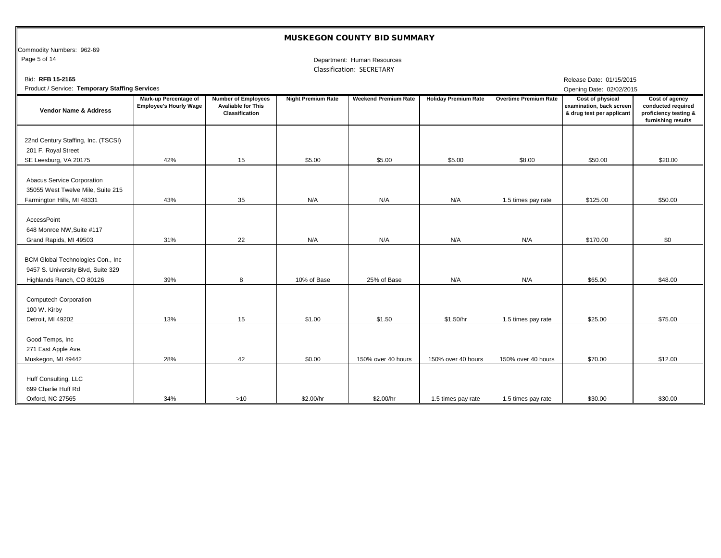Commodity Numbers: 962-69<br>Page 5 of 14

#### Department: Human Resources Classification: SECRETARY

| Bid: RFB 15-2165                                                                                     |                                                        |                                                                           |                           |                             |                             |                              | Release Date: 01/15/2015                                                         |                                                                                     |
|------------------------------------------------------------------------------------------------------|--------------------------------------------------------|---------------------------------------------------------------------------|---------------------------|-----------------------------|-----------------------------|------------------------------|----------------------------------------------------------------------------------|-------------------------------------------------------------------------------------|
| Product / Service: Temporary Staffing Services                                                       |                                                        |                                                                           |                           |                             |                             |                              | Opening Date: 02/02/2015                                                         |                                                                                     |
| <b>Vendor Name &amp; Address</b>                                                                     | Mark-up Percentage of<br><b>Employee's Hourly Wage</b> | <b>Number of Employees</b><br><b>Avaliable for This</b><br>Classification | <b>Night Premium Rate</b> | <b>Weekend Premium Rate</b> | <b>Holiday Premium Rate</b> | <b>Overtime Premium Rate</b> | <b>Cost of physical</b><br>examination, back screen<br>& drug test per applicant | Cost of agency<br>conducted required<br>proficiency testing &<br>furnishing results |
| 22nd Century Staffing, Inc. (TSCSI)<br>201 F. Royal Street<br>SE Leesburg, VA 20175                  | 42%                                                    | 15                                                                        | \$5.00                    | \$5.00                      | \$5.00                      | \$8.00                       | \$50.00                                                                          | \$20.00                                                                             |
| Abacus Service Corporation<br>35055 West Twelve Mile, Suite 215<br>Farmington Hills, MI 48331        | 43%                                                    | 35                                                                        | N/A                       | N/A                         | N/A                         | 1.5 times pay rate           | \$125.00                                                                         | \$50.00                                                                             |
| AccessPoint<br>648 Monroe NW, Suite #117<br>Grand Rapids, MI 49503                                   | 31%                                                    | 22                                                                        | N/A                       | N/A                         | N/A                         | N/A                          | \$170.00                                                                         | \$0                                                                                 |
| BCM Global Technologies Con., Inc<br>9457 S. University Blvd, Suite 329<br>Highlands Ranch, CO 80126 | 39%                                                    | 8                                                                         | 10% of Base               | 25% of Base                 | N/A                         | N/A                          | \$65.00                                                                          | \$48.00                                                                             |
| <b>Computech Corporation</b><br>100 W. Kirby<br>Detroit, MI 49202                                    | 13%                                                    | 15                                                                        | \$1.00                    | \$1.50                      | \$1.50/hr                   | 1.5 times pay rate           | \$25.00                                                                          | \$75.00                                                                             |
| Good Temps, Inc<br>271 East Apple Ave.<br>Muskegon, MI 49442                                         | 28%                                                    | 42                                                                        | \$0.00                    | 150% over 40 hours          | 150% over 40 hours          | 150% over 40 hours           | \$70.00                                                                          | \$12.00                                                                             |
| Huff Consulting, LLC<br>699 Charlie Huff Rd<br>Oxford, NC 27565                                      | 34%                                                    | $>10$                                                                     | \$2.00/hr                 | \$2.00/hr                   | 1.5 times pay rate          | 1.5 times pay rate           | \$30.00                                                                          | \$30.00                                                                             |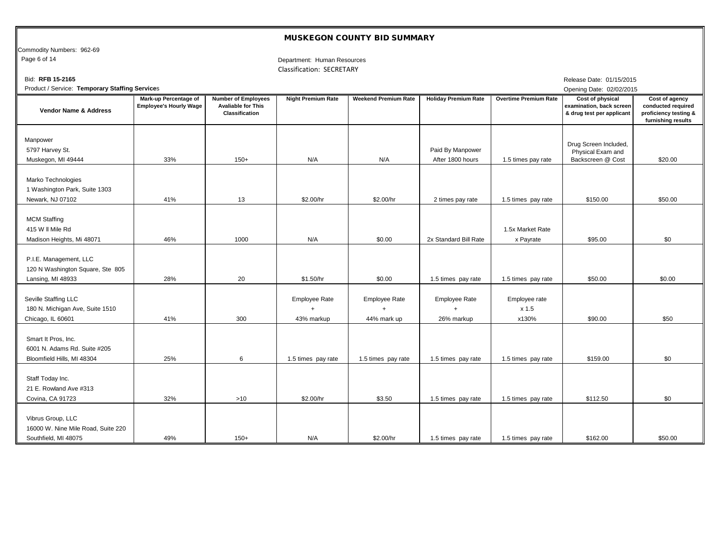Commodity Numbers: 962-69<br>Page 6 of 14

Department: Human Resources Classification: SECRETARY

| Bid: RFB 15-2165                                                                  |                                                               |                                                                           |                                                 |                                                  |                                      |                                 | Release Date: 01/15/2015                                                  |                                                                                     |
|-----------------------------------------------------------------------------------|---------------------------------------------------------------|---------------------------------------------------------------------------|-------------------------------------------------|--------------------------------------------------|--------------------------------------|---------------------------------|---------------------------------------------------------------------------|-------------------------------------------------------------------------------------|
| Product / Service: Temporary Staffing Services                                    |                                                               |                                                                           |                                                 |                                                  |                                      |                                 | Opening Date: 02/02/2015                                                  |                                                                                     |
| <b>Vendor Name &amp; Address</b>                                                  | <b>Mark-up Percentage of</b><br><b>Employee's Hourly Wage</b> | <b>Number of Employees</b><br><b>Avaliable for This</b><br>Classification | <b>Night Premium Rate</b>                       | <b>Weekend Premium Rate</b>                      | <b>Holiday Premium Rate</b>          | <b>Overtime Premium Rate</b>    | Cost of physical<br>examination, back screen<br>& drug test per applicant | Cost of agency<br>conducted required<br>proficiency testing &<br>furnishing results |
| Manpower<br>5797 Harvey St.<br>Muskegon, MI 49444                                 | 33%                                                           | $150+$                                                                    | N/A                                             | N/A                                              | Paid By Manpower<br>After 1800 hours | 1.5 times pay rate              | Drug Screen Included,<br>Physical Exam and<br>Backscreen @ Cost           | \$20.00                                                                             |
| Marko Technologies<br>1 Washington Park, Suite 1303<br>Newark, NJ 07102           | 41%                                                           | 13                                                                        | \$2.00/hr                                       | \$2.00/hr                                        | 2 times pay rate                     | 1.5 times pay rate              | \$150.00                                                                  | \$50.00                                                                             |
| <b>MCM Staffing</b><br>415 W II Mile Rd<br>Madison Heights, Mi 48071              | 46%                                                           | 1000                                                                      | N/A                                             | \$0.00                                           | 2x Standard Bill Rate                | 1.5x Market Rate<br>x Payrate   | \$95.00                                                                   | \$0                                                                                 |
| P.I.E. Management, LLC<br>120 N Washington Square, Ste 805<br>Lansing, MI 48933   | 28%                                                           | 20                                                                        | \$1.50/hr                                       | \$0.00                                           | 1.5 times pay rate                   | 1.5 times pay rate              | \$50.00                                                                   | \$0.00                                                                              |
| Seville Staffing LLC<br>180 N. Michigan Ave, Suite 1510<br>Chicago, IL 60601      | 41%                                                           | 300                                                                       | <b>Employee Rate</b><br>$\ddot{}$<br>43% markup | <b>Employee Rate</b><br>$\ddot{}$<br>44% mark up | <b>Employee Rate</b><br>26% markup   | Employee rate<br>x 1.5<br>x130% | \$90.00                                                                   | \$50                                                                                |
| Smart It Pros, Inc.<br>6001 N. Adams Rd. Suite #205<br>Bloomfield Hills, MI 48304 | 25%                                                           | 6                                                                         | 1.5 times pay rate                              | 1.5 times pay rate                               | 1.5 times pay rate                   | 1.5 times pay rate              | \$159.00                                                                  | \$0                                                                                 |
| Staff Today Inc.<br>21 E. Rowland Ave #313<br>Covina, CA 91723                    | 32%                                                           | >10                                                                       | \$2.00/hr                                       | \$3.50                                           | 1.5 times pay rate                   | 1.5 times pay rate              | \$112.50                                                                  | \$0                                                                                 |
| Vibrus Group, LLC<br>16000 W. Nine Mile Road, Suite 220<br>Southfield, MI 48075   | 49%                                                           | $150+$                                                                    | N/A                                             | \$2.00/hr                                        | 1.5 times pay rate                   | 1.5 times pay rate              | \$162.00                                                                  | \$50.00                                                                             |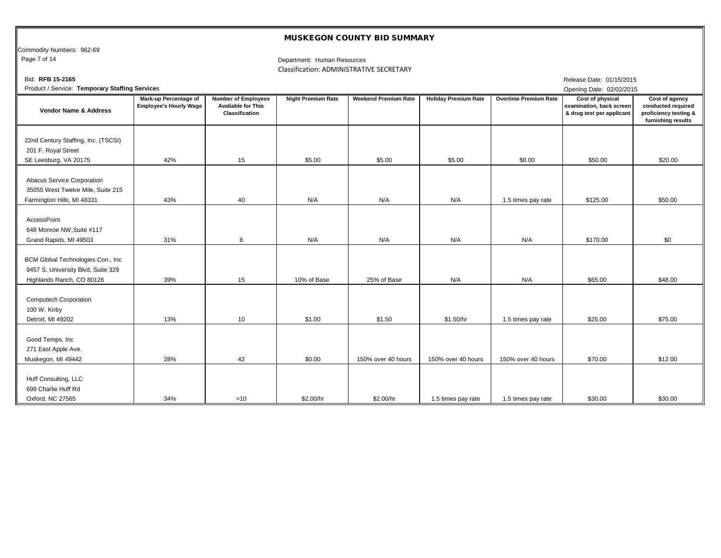Commodity Numbers: 962-69

Page 7 of 14

Classification: ADMINISTRATIVE SECRETARY Department: Human Resources

| Bid: RFB 15-2165                                                                                     |                                                        |                                                                           |                           |                             |                             |                              | Release Date: 01/15/2015                                                  |                                                                                     |
|------------------------------------------------------------------------------------------------------|--------------------------------------------------------|---------------------------------------------------------------------------|---------------------------|-----------------------------|-----------------------------|------------------------------|---------------------------------------------------------------------------|-------------------------------------------------------------------------------------|
| Product / Service: Temporary Staffing Services                                                       |                                                        |                                                                           |                           |                             |                             |                              | Opening Date: 02/02/2015                                                  |                                                                                     |
| <b>Vendor Name &amp; Address</b>                                                                     | Mark-up Percentage of<br><b>Employee's Hourly Wage</b> | <b>Number of Employees</b><br><b>Avaliable for This</b><br>Classification | <b>Night Premium Rate</b> | <b>Weekend Premium Rate</b> | <b>Holiday Premium Rate</b> | <b>Overtime Premium Rate</b> | Cost of physical<br>examination, back screen<br>& drug test per applicant | Cost of agency<br>conducted required<br>proficiency testing &<br>furnishing results |
| 22nd Century Staffing, Inc. (TSCSI)<br>201 F. Royal Street<br>SE Leesburg, VA 20175                  | 42%                                                    | 15                                                                        | \$5.00                    | \$5.00                      | \$5.00                      | \$8.00                       | \$50.00                                                                   | \$20.00                                                                             |
|                                                                                                      |                                                        |                                                                           |                           |                             |                             |                              |                                                                           |                                                                                     |
| Abacus Service Corporation<br>35055 West Twelve Mile, Suite 215<br>Farmington Hills, MI 48331        | 43%                                                    | 40                                                                        | N/A                       | N/A                         | N/A                         | 1.5 times pay rate           | \$125.00                                                                  | \$50.00                                                                             |
| AccessPoint<br>648 Monroe NW, Suite #117<br>Grand Rapids, MI 49503                                   | 31%                                                    | 8                                                                         | N/A                       | N/A                         | N/A                         | N/A                          | \$170.00                                                                  | \$0                                                                                 |
| BCM Global Technologies Con., Inc<br>9457 S. University Blvd, Suite 329<br>Highlands Ranch, CO 80126 | 39%                                                    | 15                                                                        | 10% of Base               | 25% of Base                 | N/A                         | N/A                          | \$65.00                                                                   | \$48.00                                                                             |
| <b>Computech Corporation</b><br>100 W. Kirby<br>Detroit, MI 49202                                    | 13%                                                    | 10                                                                        | \$1.00                    | \$1.50                      | \$1.50/hr                   | 1.5 times pay rate           | \$25.00                                                                   | \$75.00                                                                             |
| Good Temps, Inc<br>271 East Apple Ave.<br>Muskegon, MI 49442                                         | 28%                                                    | 42                                                                        | \$0.00                    | 150% over 40 hours          | 150% over 40 hours          | 150% over 40 hours           | \$70.00                                                                   | \$12.00                                                                             |
| Huff Consulting, LLC<br>699 Charlie Huff Rd<br>Oxford, NC 27565                                      | 34%                                                    | >10                                                                       | \$2.00/hr                 | \$2.00/hr                   | 1.5 times pay rate          | 1.5 times pay rate           | \$30.00                                                                   | \$30.00                                                                             |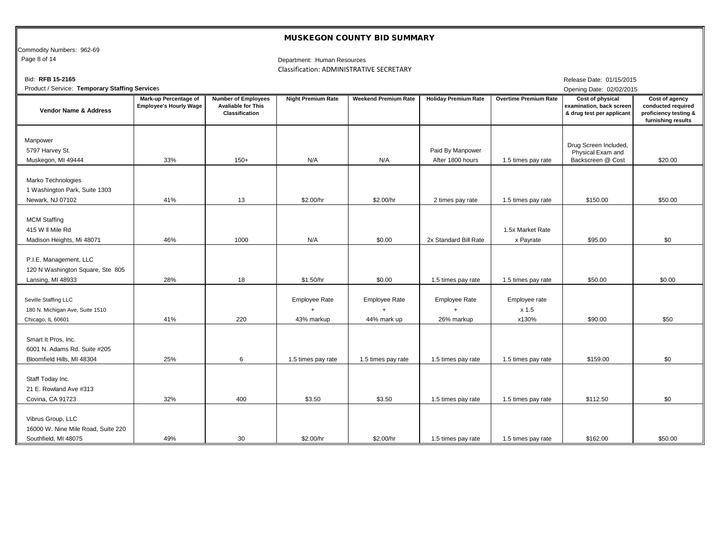Commodity Numbers: 962-69<br>Page 8 of 14

Department: Human Resources Classification: ADMINISTRATIVE SECRETARY

| Bid: RFB 15-2165                                                                  |                                                               |                                                                           |                                                 |                                                  |                                                 |                                 | Release Date: 01/15/2015                                                  |                                                                                     |
|-----------------------------------------------------------------------------------|---------------------------------------------------------------|---------------------------------------------------------------------------|-------------------------------------------------|--------------------------------------------------|-------------------------------------------------|---------------------------------|---------------------------------------------------------------------------|-------------------------------------------------------------------------------------|
| Product / Service: Temporary Staffing Services                                    |                                                               |                                                                           |                                                 |                                                  |                                                 |                                 | Opening Date: 02/02/2015                                                  |                                                                                     |
| <b>Vendor Name &amp; Address</b>                                                  | <b>Mark-up Percentage of</b><br><b>Employee's Hourly Wage</b> | <b>Number of Employees</b><br><b>Avaliable for This</b><br>Classification | <b>Night Premium Rate</b>                       | <b>Weekend Premium Rate</b>                      | <b>Holiday Premium Rate</b>                     | <b>Overtime Premium Rate</b>    | Cost of physical<br>examination, back screen<br>& drug test per applicant | Cost of agency<br>conducted required<br>proficiency testing &<br>furnishing results |
| Manpower<br>5797 Harvey St.<br>Muskegon, MI 49444                                 | 33%                                                           | $150+$                                                                    | N/A                                             | N/A                                              | Paid By Manpower<br>After 1800 hours            | 1.5 times pay rate              | Drug Screen Included,<br>Physical Exam and<br>Backscreen @ Cost           | \$20.00                                                                             |
| Marko Technologies<br>1 Washington Park, Suite 1303<br>Newark, NJ 07102           | 41%                                                           | 13                                                                        | \$2.00/hr                                       | \$2.00/hr                                        | 2 times pay rate                                | 1.5 times pay rate              | \$150.00                                                                  | \$50.00                                                                             |
| <b>MCM Staffing</b><br>415 W II Mile Rd<br>Madison Heights, Mi 48071              | 46%                                                           | 1000                                                                      | N/A                                             | \$0.00                                           | 2x Standard Bill Rate                           | 1.5x Market Rate<br>x Payrate   | \$95.00                                                                   | \$0                                                                                 |
| P.I.E. Management, LLC<br>120 N Washington Square, Ste 805<br>Lansing, MI 48933   | 28%                                                           | 18                                                                        | \$1.50/hr                                       | \$0.00                                           | 1.5 times pay rate                              | 1.5 times pay rate              | \$50.00                                                                   | \$0.00                                                                              |
| Seville Staffing LLC<br>180 N. Michigan Ave, Suite 1510<br>Chicago, IL 60601      | 41%                                                           | 220                                                                       | <b>Employee Rate</b><br>$\ddot{}$<br>43% markup | <b>Employee Rate</b><br>$\ddot{}$<br>44% mark up | <b>Employee Rate</b><br>$\ddot{}$<br>26% markup | Employee rate<br>x 1.5<br>x130% | \$90.00                                                                   | \$50                                                                                |
| Smart It Pros, Inc.<br>6001 N. Adams Rd. Suite #205<br>Bloomfield Hills, MI 48304 | 25%                                                           | 6                                                                         | 1.5 times pay rate                              | 1.5 times pay rate                               | 1.5 times pay rate                              | 1.5 times pay rate              | \$159.00                                                                  | \$0                                                                                 |
| Staff Today Inc.<br>21 E. Rowland Ave #313<br>Covina, CA 91723                    | 32%                                                           | 400                                                                       | \$3.50                                          | \$3.50                                           | 1.5 times pay rate                              | 1.5 times pay rate              | \$112.50                                                                  | \$0                                                                                 |
| Vibrus Group, LLC<br>16000 W. Nine Mile Road, Suite 220<br>Southfield, MI 48075   | 49%                                                           | 30                                                                        | \$2.00/hr                                       | \$2.00/hr                                        | 1.5 times pay rate                              | 1.5 times pay rate              | \$162.00                                                                  | \$50.00                                                                             |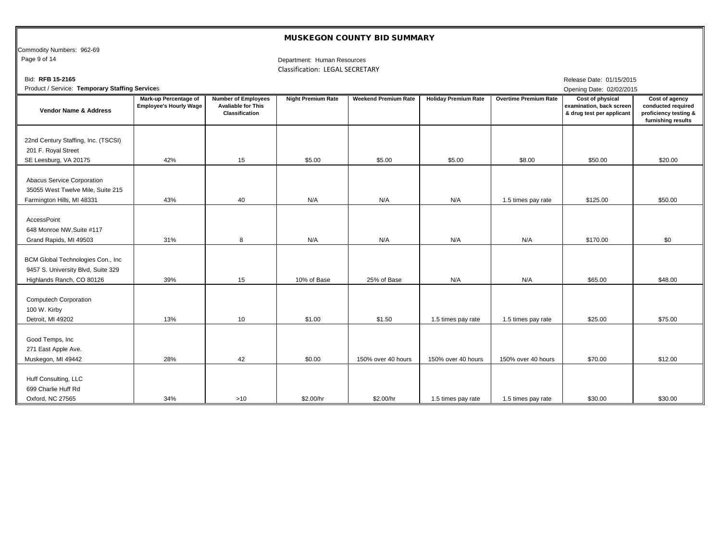Commodity Numbers: 962-69<br>Page 9 of 14

Department: Human Resources Classification: LEGAL SECRETARY

| Bid: RFB 15-2165                                                                                      |                                                        |                                                                           |                           |                             |                             |                              | Release Date: 01/15/2015                                                  |                                                                                     |
|-------------------------------------------------------------------------------------------------------|--------------------------------------------------------|---------------------------------------------------------------------------|---------------------------|-----------------------------|-----------------------------|------------------------------|---------------------------------------------------------------------------|-------------------------------------------------------------------------------------|
| Product / Service: Temporary Staffing Services                                                        |                                                        |                                                                           |                           |                             |                             |                              | Opening Date: 02/02/2015                                                  |                                                                                     |
| <b>Vendor Name &amp; Address</b>                                                                      | Mark-up Percentage of<br><b>Employee's Hourly Wage</b> | <b>Number of Employees</b><br><b>Avaliable for This</b><br>Classification | <b>Night Premium Rate</b> | <b>Weekend Premium Rate</b> | <b>Holiday Premium Rate</b> | <b>Overtime Premium Rate</b> | Cost of physical<br>examination, back screen<br>& drug test per applicant | Cost of agency<br>conducted required<br>proficiency testing &<br>furnishing results |
| 22nd Century Staffing, Inc. (TSCSI)<br>201 F. Royal Street<br>SE Leesburg, VA 20175                   | 42%                                                    | 15                                                                        | \$5.00                    | \$5.00                      | \$5.00                      | \$8.00                       | \$50.00                                                                   | \$20.00                                                                             |
| Abacus Service Corporation<br>35055 West Twelve Mile, Suite 215<br>Farmington Hills, MI 48331         | 43%                                                    | 40                                                                        | N/A                       | N/A                         | N/A                         | 1.5 times pay rate           | \$125.00                                                                  | \$50.00                                                                             |
| AccessPoint<br>648 Monroe NW, Suite #117<br>Grand Rapids, MI 49503                                    | 31%                                                    | 8                                                                         | N/A                       | N/A                         | N/A                         | N/A                          | \$170.00                                                                  | \$0                                                                                 |
| BCM Global Technologies Con., Inc.<br>9457 S. University Blvd, Suite 329<br>Highlands Ranch, CO 80126 | 39%                                                    | 15                                                                        | 10% of Base               | 25% of Base                 | N/A                         | N/A                          | \$65.00                                                                   | \$48.00                                                                             |
| <b>Computech Corporation</b><br>100 W. Kirby<br>Detroit, MI 49202                                     | 13%                                                    | 10                                                                        | \$1.00                    | \$1.50                      | 1.5 times pay rate          | 1.5 times pay rate           | \$25.00                                                                   | \$75.00                                                                             |
| Good Temps, Inc<br>271 East Apple Ave.<br>Muskegon, MI 49442                                          | 28%                                                    | 42                                                                        | \$0.00                    | 150% over 40 hours          | 150% over 40 hours          | 150% over 40 hours           | \$70.00                                                                   | \$12.00                                                                             |
| Huff Consulting, LLC<br>699 Charlie Huff Rd<br>Oxford, NC 27565                                       | 34%                                                    | >10                                                                       | \$2.00/hr                 | \$2.00/hr                   | 1.5 times pay rate          | 1.5 times pay rate           | \$30.00                                                                   | \$30.00                                                                             |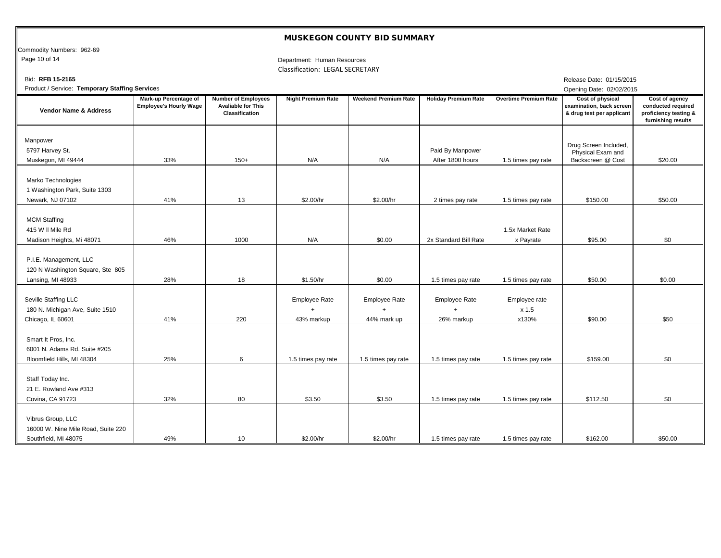Commodity Numbers: 962-69<br>Page 10 of 14

Department: Human Resources Classification: LEGAL SECRETARY

| Bid: RFB 15-2165                                                                  |                                                        |                                                                           |                                                 |                                                  |                                                 |                                 | Release Date: 01/15/2015                                                  |                                                                                     |
|-----------------------------------------------------------------------------------|--------------------------------------------------------|---------------------------------------------------------------------------|-------------------------------------------------|--------------------------------------------------|-------------------------------------------------|---------------------------------|---------------------------------------------------------------------------|-------------------------------------------------------------------------------------|
| Product / Service: Temporary Staffing Services                                    |                                                        |                                                                           |                                                 |                                                  |                                                 |                                 | Opening Date: 02/02/2015                                                  |                                                                                     |
| <b>Vendor Name &amp; Address</b>                                                  | Mark-up Percentage of<br><b>Employee's Hourly Wage</b> | <b>Number of Employees</b><br><b>Avaliable for This</b><br>Classification | <b>Night Premium Rate</b>                       | <b>Weekend Premium Rate</b>                      | <b>Holiday Premium Rate</b>                     | <b>Overtime Premium Rate</b>    | Cost of physical<br>examination, back screen<br>& drug test per applicant | Cost of agency<br>conducted required<br>proficiency testing &<br>furnishing results |
| Manpower<br>5797 Harvey St.<br>Muskegon, MI 49444                                 | 33%                                                    | $150+$                                                                    | N/A                                             | N/A                                              | Paid By Manpower<br>After 1800 hours            | 1.5 times pay rate              | Drug Screen Included,<br>Physical Exam and<br>Backscreen @ Cost           | \$20.00                                                                             |
| Marko Technologies<br>1 Washington Park, Suite 1303<br>Newark, NJ 07102           | 41%                                                    | 13                                                                        | \$2.00/hr                                       | \$2.00/hr                                        | 2 times pay rate                                | 1.5 times pay rate              | \$150.00                                                                  | \$50.00                                                                             |
| <b>MCM Staffing</b><br>415 W II Mile Rd<br>Madison Heights, Mi 48071              | 46%                                                    | 1000                                                                      | N/A                                             | \$0.00                                           | 2x Standard Bill Rate                           | 1.5x Market Rate<br>x Payrate   | \$95.00                                                                   | \$0                                                                                 |
| P.I.E. Management, LLC<br>120 N Washington Square, Ste 805<br>Lansing, MI 48933   | 28%                                                    | 18                                                                        | \$1.50/hr                                       | \$0.00                                           | 1.5 times pay rate                              | 1.5 times pay rate              | \$50.00                                                                   | \$0.00                                                                              |
| Seville Staffing LLC<br>180 N. Michigan Ave, Suite 1510<br>Chicago, IL 60601      | 41%                                                    | 220                                                                       | <b>Employee Rate</b><br>$\ddot{}$<br>43% markup | <b>Employee Rate</b><br>$\ddot{}$<br>44% mark up | <b>Employee Rate</b><br>$\ddot{}$<br>26% markup | Employee rate<br>x 1.5<br>x130% | \$90.00                                                                   | \$50                                                                                |
| Smart It Pros, Inc.<br>6001 N. Adams Rd. Suite #205<br>Bloomfield Hills, MI 48304 | 25%                                                    | 6                                                                         | 1.5 times pay rate                              | 1.5 times pay rate                               | 1.5 times pay rate                              | 1.5 times pay rate              | \$159.00                                                                  | \$0                                                                                 |
| Staff Today Inc.<br>21 E. Rowland Ave #313<br>Covina, CA 91723                    | 32%                                                    | 80                                                                        | \$3.50                                          | \$3.50                                           | 1.5 times pay rate                              | 1.5 times pay rate              | \$112.50                                                                  | \$0                                                                                 |
| Vibrus Group, LLC<br>16000 W. Nine Mile Road, Suite 220<br>Southfield. MI 48075   | 49%                                                    | 10                                                                        | \$2.00/hr                                       | \$2.00/hr                                        | 1.5 times pay rate                              | 1.5 times pay rate              | \$162.00                                                                  | \$50.00                                                                             |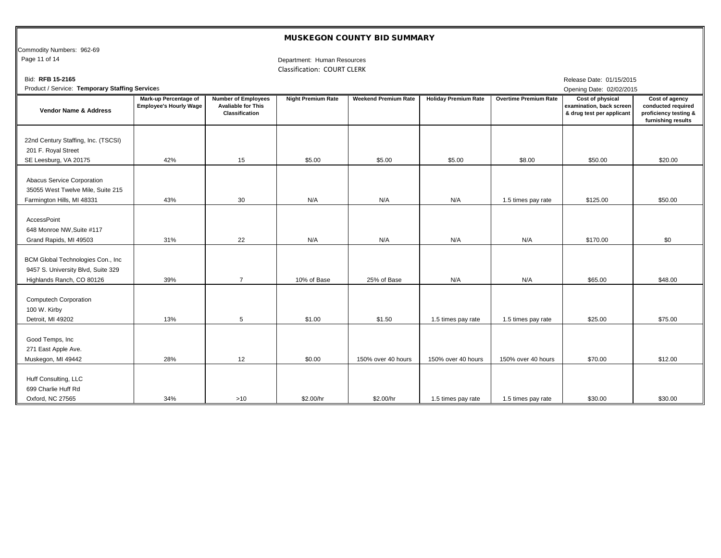Commodity Numbers: 962-69<br>Page 11 of 14

Department: Human Resources Classification: COURT CLERK

| Bid: RFB 15-2165                                                                                      |                                                               |                                                                           |                           |                             |                             |                              | Release Date: 01/15/2015                                                         |                                                                                     |
|-------------------------------------------------------------------------------------------------------|---------------------------------------------------------------|---------------------------------------------------------------------------|---------------------------|-----------------------------|-----------------------------|------------------------------|----------------------------------------------------------------------------------|-------------------------------------------------------------------------------------|
| Product / Service: Temporary Staffing Services                                                        |                                                               |                                                                           |                           |                             |                             |                              | Opening Date: 02/02/2015                                                         |                                                                                     |
| <b>Vendor Name &amp; Address</b>                                                                      | <b>Mark-up Percentage of</b><br><b>Employee's Hourly Wage</b> | <b>Number of Employees</b><br><b>Avaliable for This</b><br>Classification | <b>Night Premium Rate</b> | <b>Weekend Premium Rate</b> | <b>Holiday Premium Rate</b> | <b>Overtime Premium Rate</b> | <b>Cost of physical</b><br>examination, back screen<br>& drug test per applicant | Cost of agency<br>conducted required<br>proficiency testing &<br>furnishing results |
| 22nd Century Staffing, Inc. (TSCSI)<br>201 F. Royal Street<br>SE Leesburg, VA 20175                   | 42%                                                           | 15                                                                        | \$5.00                    | \$5.00                      | \$5.00                      | \$8.00                       | \$50.00                                                                          | \$20.00                                                                             |
| Abacus Service Corporation<br>35055 West Twelve Mile, Suite 215<br>Farmington Hills, MI 48331         | 43%                                                           | 30                                                                        | N/A                       | N/A                         | N/A                         | 1.5 times pay rate           | \$125.00                                                                         | \$50.00                                                                             |
| AccessPoint<br>648 Monroe NW, Suite #117<br>Grand Rapids, MI 49503                                    | 31%                                                           | 22                                                                        | N/A                       | N/A                         | N/A                         | N/A                          | \$170.00                                                                         | \$0                                                                                 |
| BCM Global Technologies Con., Inc.<br>9457 S. University Blvd, Suite 329<br>Highlands Ranch, CO 80126 | 39%                                                           | $\overline{7}$                                                            | 10% of Base               | 25% of Base                 | N/A                         | N/A                          | \$65.00                                                                          | \$48.00                                                                             |
| <b>Computech Corporation</b><br>100 W. Kirby<br>Detroit, MI 49202                                     | 13%                                                           | 5                                                                         | \$1.00                    | \$1.50                      | 1.5 times pay rate          | 1.5 times pay rate           | \$25.00                                                                          | \$75.00                                                                             |
| Good Temps, Inc<br>271 East Apple Ave.<br>Muskegon, MI 49442                                          | 28%                                                           | 12                                                                        | \$0.00                    | 150% over 40 hours          | 150% over 40 hours          | 150% over 40 hours           | \$70.00                                                                          | \$12.00                                                                             |
| Huff Consulting, LLC<br>699 Charlie Huff Rd<br>Oxford, NC 27565                                       | 34%                                                           | >10                                                                       | \$2.00/hr                 | \$2.00/hr                   | 1.5 times pay rate          | 1.5 times pay rate           | \$30.00                                                                          | \$30.00                                                                             |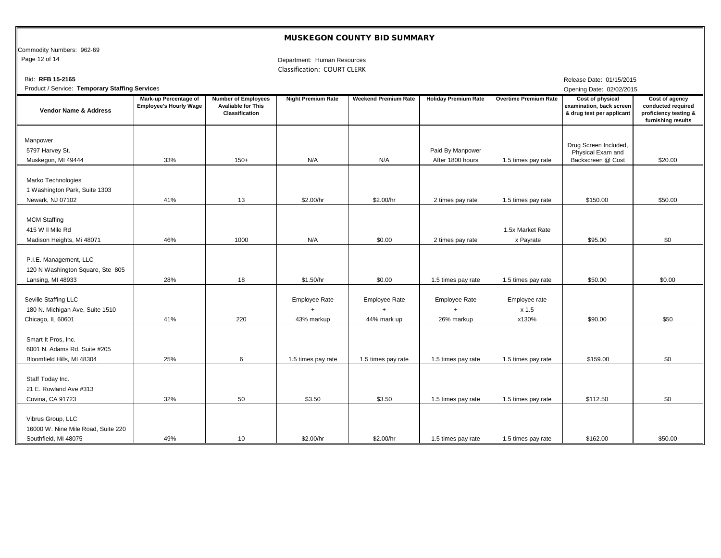Commodity Numbers: 962-69<br>Page 12 of 14

Department: Human Resources Classification: COURT CLERK

| Bid: RFB 15-2165                                                                  |                                                               |                                                                           |                                                 |                                            |                                      |                                 | Release Date: 01/15/2015                                                         |                                                                                     |
|-----------------------------------------------------------------------------------|---------------------------------------------------------------|---------------------------------------------------------------------------|-------------------------------------------------|--------------------------------------------|--------------------------------------|---------------------------------|----------------------------------------------------------------------------------|-------------------------------------------------------------------------------------|
| Product / Service: Temporary Staffing Services                                    |                                                               |                                                                           |                                                 |                                            |                                      |                                 | Opening Date: 02/02/2015                                                         |                                                                                     |
| <b>Vendor Name &amp; Address</b>                                                  | <b>Mark-up Percentage of</b><br><b>Employee's Hourly Wage</b> | <b>Number of Employees</b><br><b>Avaliable for This</b><br>Classification | <b>Night Premium Rate</b>                       | <b>Weekend Premium Rate</b>                | <b>Holiday Premium Rate</b>          | <b>Overtime Premium Rate</b>    | <b>Cost of physical</b><br>examination, back screen<br>& drug test per applicant | Cost of agency<br>conducted required<br>proficiency testing &<br>furnishing results |
| Manpower<br>5797 Harvey St.<br>Muskegon, MI 49444                                 | 33%                                                           | $150+$                                                                    | N/A                                             | N/A                                        | Paid By Manpower<br>After 1800 hours | 1.5 times pay rate              | Drug Screen Included,<br>Physical Exam and<br>Backscreen @ Cost                  | \$20.00                                                                             |
| Marko Technologies<br>1 Washington Park, Suite 1303<br>Newark, NJ 07102           | 41%                                                           | 13                                                                        | \$2.00/hr                                       | \$2.00/hr                                  | 2 times pay rate                     | 1.5 times pay rate              | \$150.00                                                                         | \$50.00                                                                             |
| <b>MCM Staffing</b><br>415 W II Mile Rd<br>Madison Heights, Mi 48071              | 46%                                                           | 1000                                                                      | N/A                                             | \$0.00                                     | 2 times pay rate                     | 1.5x Market Rate<br>x Payrate   | \$95.00                                                                          | \$0                                                                                 |
| P.I.E. Management, LLC<br>120 N Washington Square, Ste 805<br>Lansing, MI 48933   | 28%                                                           | 18                                                                        | \$1.50/hr                                       | \$0.00                                     | 1.5 times pay rate                   | 1.5 times pay rate              | \$50.00                                                                          | \$0.00                                                                              |
| Seville Staffing LLC<br>180 N. Michigan Ave, Suite 1510<br>Chicago, IL 60601      | 41%                                                           | 220                                                                       | <b>Employee Rate</b><br>$\ddot{}$<br>43% markup | <b>Employee Rate</b><br>$+$<br>44% mark up | <b>Employee Rate</b><br>26% markup   | Employee rate<br>x 1.5<br>x130% | \$90.00                                                                          | \$50                                                                                |
| Smart It Pros, Inc.<br>6001 N. Adams Rd. Suite #205<br>Bloomfield Hills, MI 48304 | 25%                                                           | 6                                                                         | 1.5 times pay rate                              | 1.5 times pay rate                         | 1.5 times pay rate                   | 1.5 times pay rate              | \$159.00                                                                         | \$0                                                                                 |
| Staff Today Inc.<br>21 E. Rowland Ave #313<br>Covina, CA 91723                    | 32%                                                           | 50                                                                        | \$3.50                                          | \$3.50                                     | 1.5 times pay rate                   | 1.5 times pay rate              | \$112.50                                                                         | \$0                                                                                 |
| Vibrus Group, LLC<br>16000 W. Nine Mile Road, Suite 220<br>Southfield, MI 48075   | 49%                                                           | 10                                                                        | \$2.00/hr                                       | \$2.00/hr                                  | 1.5 times pay rate                   | 1.5 times pay rate              | \$162.00                                                                         | \$50.00                                                                             |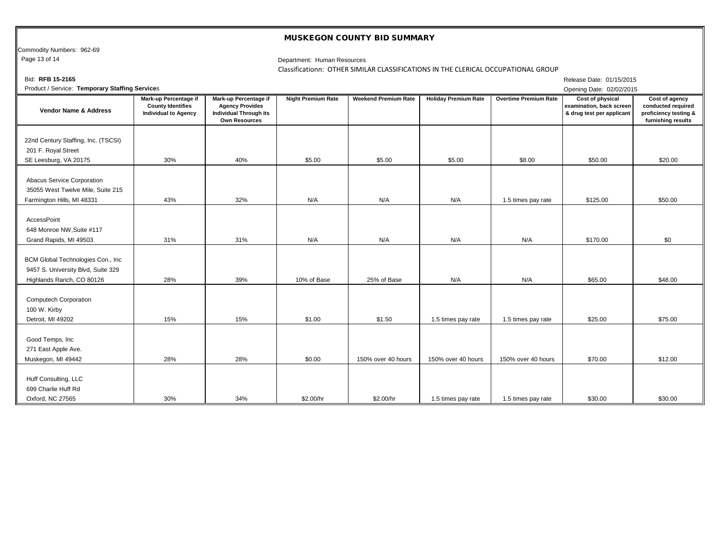Commodity Numbers: 962-69<br>Page 13 of 14

#### Department: Human Resources

Classificationn: OTHER SIMILAR CLASSIFICATIONS IN THE CLERICAL OCCUPATIONAL GROUP

| Bid: RFB 15-2165                                                                                      |                                                                                  |                                                                                                                 |                           |                             |                             |                              | Release Date: 01/15/2015                                                  |                                                                                     |  |  |  |
|-------------------------------------------------------------------------------------------------------|----------------------------------------------------------------------------------|-----------------------------------------------------------------------------------------------------------------|---------------------------|-----------------------------|-----------------------------|------------------------------|---------------------------------------------------------------------------|-------------------------------------------------------------------------------------|--|--|--|
| Product / Service: Temporary Staffing Services<br>Opening Date: 02/02/2015                            |                                                                                  |                                                                                                                 |                           |                             |                             |                              |                                                                           |                                                                                     |  |  |  |
| <b>Vendor Name &amp; Address</b>                                                                      | Mark-up Percentage if<br><b>County Identifies</b><br><b>Individual to Agency</b> | <b>Mark-up Percentage if</b><br><b>Agency Provides</b><br><b>Individual Through its</b><br><b>Own Resources</b> | <b>Night Premium Rate</b> | <b>Weekend Premium Rate</b> | <b>Holiday Premium Rate</b> | <b>Overtime Premium Rate</b> | Cost of physical<br>examination, back screen<br>& drug test per applicant | Cost of agency<br>conducted required<br>proficiency testing &<br>furnishing results |  |  |  |
| 22nd Century Staffing, Inc. (TSCSI)<br>201 F. Royal Street<br>SE Leesburg, VA 20175                   | 30%                                                                              | 40%                                                                                                             | \$5.00                    | \$5.00                      | \$5.00                      | \$8.00                       | \$50.00                                                                   | \$20.00                                                                             |  |  |  |
| Abacus Service Corporation<br>35055 West Twelve Mile, Suite 215<br>Farmington Hills, MI 48331         | 43%                                                                              | 32%                                                                                                             | N/A                       | N/A                         | N/A                         | 1.5 times pay rate           | \$125.00                                                                  | \$50.00                                                                             |  |  |  |
| <b>AccessPoint</b><br>648 Monroe NW, Suite #117<br>Grand Rapids, MI 49503                             | 31%                                                                              | 31%                                                                                                             | N/A                       | N/A                         | N/A                         | N/A                          | \$170.00                                                                  | \$0                                                                                 |  |  |  |
| BCM Global Technologies Con., Inc.<br>9457 S. University Blvd, Suite 329<br>Highlands Ranch, CO 80126 | 28%                                                                              | 39%                                                                                                             | 10% of Base               | 25% of Base                 | N/A                         | N/A                          | \$65.00                                                                   | \$48.00                                                                             |  |  |  |
| <b>Computech Corporation</b><br>100 W. Kirby<br>Detroit, MI 49202                                     | 15%                                                                              | 15%                                                                                                             | \$1.00                    | \$1.50                      | 1.5 times pay rate          | 1.5 times pay rate           | \$25.00                                                                   | \$75.00                                                                             |  |  |  |
| Good Temps, Inc<br>271 East Apple Ave.<br>Muskegon, MI 49442                                          | 28%                                                                              | 28%                                                                                                             | \$0.00                    | 150% over 40 hours          | 150% over 40 hours          | 150% over 40 hours           | \$70.00                                                                   | \$12.00                                                                             |  |  |  |
| Huff Consulting, LLC<br>699 Charlie Huff Rd<br>Oxford, NC 27565                                       | 30%                                                                              | 34%                                                                                                             | \$2.00/hr                 | \$2.00/hr                   | 1.5 times pay rate          | 1.5 times pay rate           | \$30.00                                                                   | \$30.00                                                                             |  |  |  |